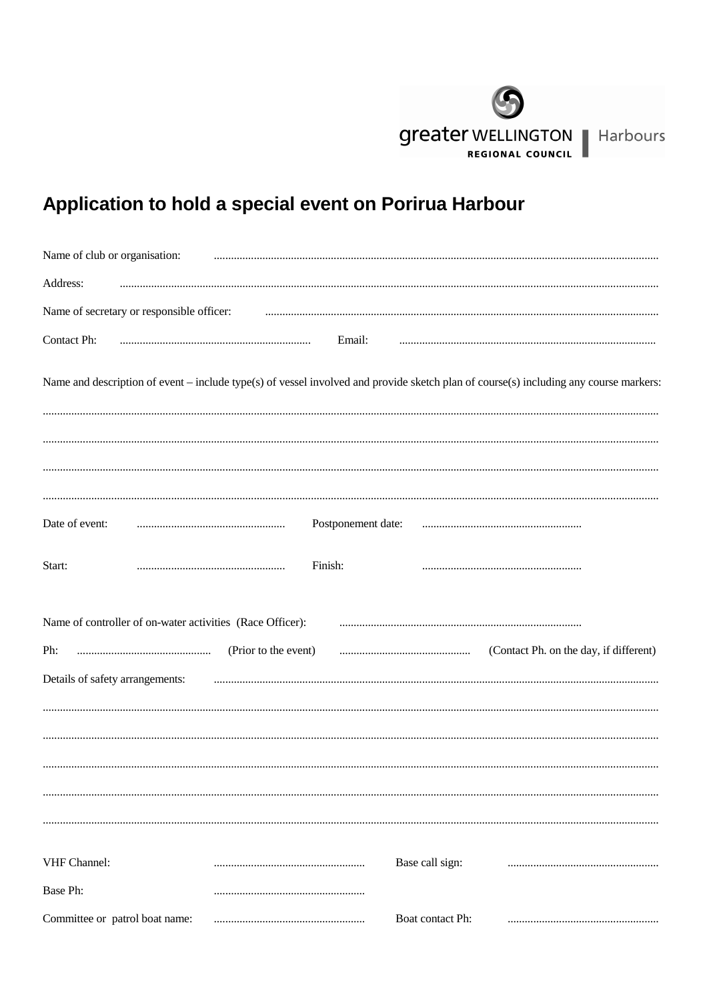

## Application to hold a special event on Porirua Harbour

| Name of club or organisation:                                                                                                         |                      |                    |                  |                                        |  |  |
|---------------------------------------------------------------------------------------------------------------------------------------|----------------------|--------------------|------------------|----------------------------------------|--|--|
| Address:                                                                                                                              |                      |                    |                  |                                        |  |  |
| Name of secretary or responsible officer:                                                                                             |                      |                    |                  |                                        |  |  |
| Contact Ph:                                                                                                                           |                      | Email:             |                  |                                        |  |  |
| Name and description of event – include type(s) of vessel involved and provide sketch plan of course(s) including any course markers: |                      |                    |                  |                                        |  |  |
|                                                                                                                                       |                      |                    |                  |                                        |  |  |
| Date of event:                                                                                                                        |                      | Postponement date: |                  |                                        |  |  |
| Start:                                                                                                                                | Finish:              |                    |                  |                                        |  |  |
| Name of controller of on-water activities (Race Officer):                                                                             |                      |                    |                  |                                        |  |  |
| Ph:                                                                                                                                   | (Prior to the event) |                    |                  | (Contact Ph. on the day, if different) |  |  |
| Details of safety arrangements:                                                                                                       |                      |                    |                  |                                        |  |  |
|                                                                                                                                       |                      |                    |                  |                                        |  |  |
|                                                                                                                                       |                      |                    |                  |                                        |  |  |
|                                                                                                                                       |                      |                    |                  |                                        |  |  |
|                                                                                                                                       |                      |                    |                  |                                        |  |  |
| VHF Channel:                                                                                                                          |                      |                    | Base call sign:  |                                        |  |  |
| Base Ph:                                                                                                                              |                      |                    |                  |                                        |  |  |
| Committee or patrol boat name:                                                                                                        |                      |                    | Boat contact Ph: |                                        |  |  |